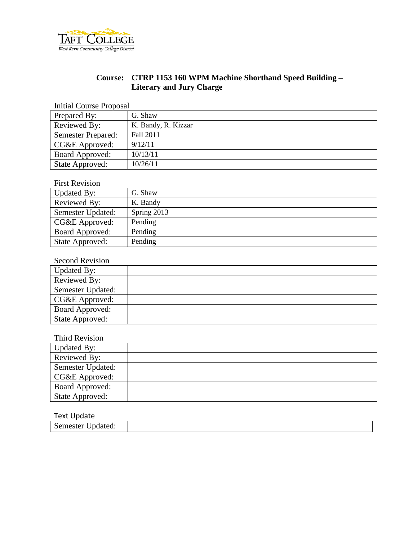

# **Course: CTRP 1153 160 WPM Machine Shorthand Speed Building – Literary and Jury Charge**

Initial Course Proposal

| Prepared By:              | G. Shaw             |
|---------------------------|---------------------|
| Reviewed By:              | K. Bandy, R. Kizzar |
| <b>Semester Prepared:</b> | Fall 2011           |
| CG&E Approved:            | 9/12/11             |
| Board Approved:           | 10/13/11            |
| State Approved:           | 10/26/11            |

# First Revision

| Updated By:       | G. Shaw     |
|-------------------|-------------|
| Reviewed By:      | K. Bandy    |
| Semester Updated: | Spring 2013 |
| CG&E Approved:    | Pending     |
| Board Approved:   | Pending     |
| State Approved:   | Pending     |

### Second Revision

| Updated By:            |  |
|------------------------|--|
| Reviewed By:           |  |
| Semester Updated:      |  |
| CG&E Approved:         |  |
| <b>Board Approved:</b> |  |
| State Approved:        |  |

### Third Revision

| Updated By:            |  |
|------------------------|--|
| Reviewed By:           |  |
| Semester Updated:      |  |
| CG&E Approved:         |  |
| <b>Board Approved:</b> |  |
| State Approved:        |  |

#### Text Update

| $ -$<br>Semester '<br><i>J</i> pdated: |  |
|----------------------------------------|--|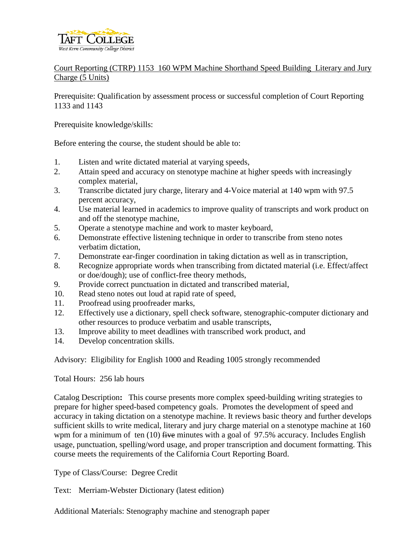

# Court Reporting (CTRP) 1153 160 WPM Machine Shorthand Speed Building Literary and Jury Charge (5 Units)

Prerequisite: Qualification by assessment process or successful completion of Court Reporting 1133 and 1143

Prerequisite knowledge/skills:

Before entering the course, the student should be able to:

- 1. Listen and write dictated material at varying speeds,
- 2. Attain speed and accuracy on stenotype machine at higher speeds with increasingly complex material,
- 3. Transcribe dictated jury charge, literary and 4-Voice material at 140 wpm with 97.5 percent accuracy,
- 4. Use material learned in academics to improve quality of transcripts and work product on and off the stenotype machine,
- 5. Operate a stenotype machine and work to master keyboard,
- 6. Demonstrate effective listening technique in order to transcribe from steno notes verbatim dictation,
- 7. Demonstrate ear-finger coordination in taking dictation as well as in transcription,
- 8. Recognize appropriate words when transcribing from dictated material (i.e. Effect/affect or doe/dough); use of conflict-free theory methods,
- 9. Provide correct punctuation in dictated and transcribed material,
- 10. Read steno notes out loud at rapid rate of speed,
- 11. Proofread using proofreader marks,
- 12. Effectively use a dictionary, spell check software, stenographic-computer dictionary and other resources to produce verbatim and usable transcripts,
- 13. Improve ability to meet deadlines with transcribed work product, and
- 14. Develop concentration skills.

Advisory: Eligibility for English 1000 and Reading 1005 strongly recommended

#### Total Hours: 256 lab hours

Catalog Description**:** This course presents more complex speed-building writing strategies to prepare for higher speed-based competency goals. Promotes the development of speed and accuracy in taking dictation on a stenotype machine. It reviews basic theory and further develops sufficient skills to write medical, literary and jury charge material on a stenotype machine at 160 wpm for a minimum of ten  $(10)$  five minutes with a goal of 97.5% accuracy. Includes English usage, punctuation, spelling/word usage, and proper transcription and document formatting. This course meets the requirements of the California Court Reporting Board.

Type of Class/Course: Degree Credit

Text: Merriam-Webster Dictionary (latest edition)

Additional Materials: Stenography machine and stenograph paper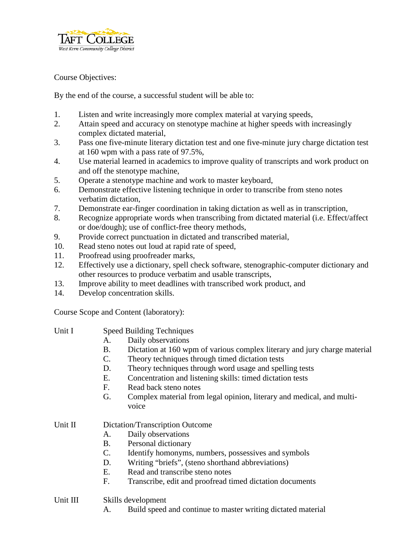

Course Objectives:

By the end of the course, a successful student will be able to:

- 1. Listen and write increasingly more complex material at varying speeds,
- 2. Attain speed and accuracy on stenotype machine at higher speeds with increasingly complex dictated material,
- 3. Pass one five-minute literary dictation test and one five-minute jury charge dictation test at 160 wpm with a pass rate of 97.5%,
- 4. Use material learned in academics to improve quality of transcripts and work product on and off the stenotype machine,
- 5. Operate a stenotype machine and work to master keyboard,
- 6. Demonstrate effective listening technique in order to transcribe from steno notes verbatim dictation,
- 7. Demonstrate ear-finger coordination in taking dictation as well as in transcription,
- 8. Recognize appropriate words when transcribing from dictated material (i.e. Effect/affect or doe/dough); use of conflict-free theory methods,
- 9. Provide correct punctuation in dictated and transcribed material,
- 10. Read steno notes out loud at rapid rate of speed,
- 11. Proofread using proofreader marks,
- 12. Effectively use a dictionary, spell check software, stenographic-computer dictionary and other resources to produce verbatim and usable transcripts,
- 13. Improve ability to meet deadlines with transcribed work product, and
- 14. Develop concentration skills.

Course Scope and Content (laboratory):

- Unit I Speed Building Techniques
	- A. Daily observations
	- B. Dictation at 160 wpm of various complex literary and jury charge material
	- C. Theory techniques through timed dictation tests
	- D. Theory techniques through word usage and spelling tests
	- E. Concentration and listening skills: timed dictation tests
	- F. Read back steno notes
	- G. Complex material from legal opinion, literary and medical, and multivoice

# Unit II Dictation/Transcription Outcome

- A. Daily observations
- B. Personal dictionary
- C. Identify homonyms, numbers, possessives and symbols
- D. Writing "briefs", (steno shorthand abbreviations)
- E. Read and transcribe steno notes
- F. Transcribe, edit and proofread timed dictation documents
- Unit III Skills development
	- A. Build speed and continue to master writing dictated material